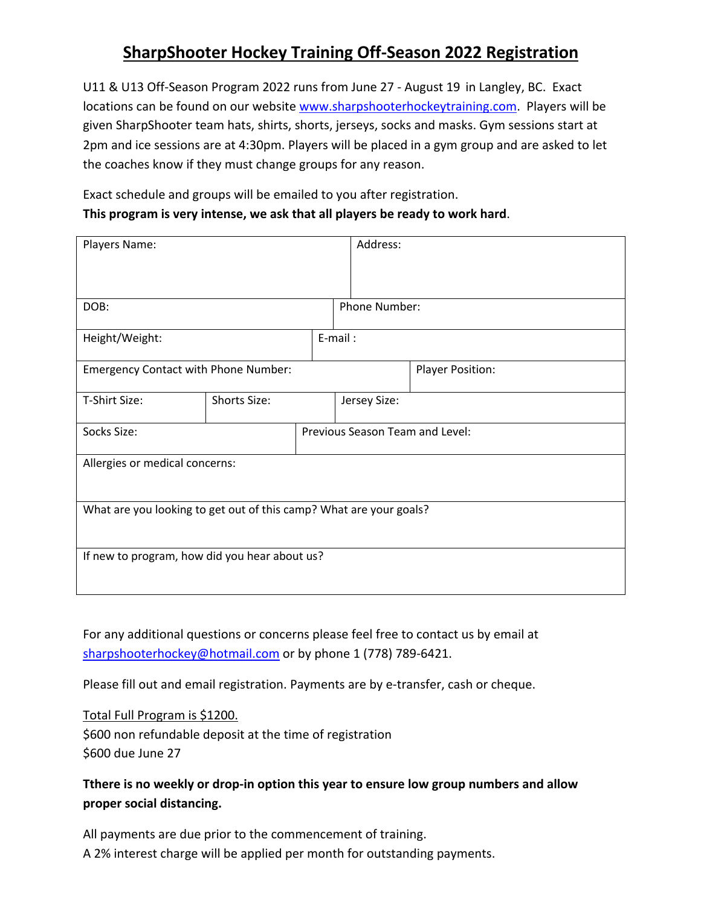## **SharpShooter Hockey Training Off-Season 2022 Registration**

U11 & U13 Off-Season Program 2022 runs from June 27 - August 19 in Langley, BC. Exact locations can be found on our website www.sharpshooterhockeytraining.com. Players will be given SharpShooter team hats, shirts, shorts, jerseys, socks and masks. Gym sessions start at 2pm and ice sessions are at 4:30pm. Players will be placed in a gym group and are asked to let the coaches know if they must change groups for any reason.

Exact schedule and groups will be emailed to you after registration. **This program is very intense, we ask that all players be ready to work hard**.

| Players Name:                                                      |              |  | Address:                        |                  |  |
|--------------------------------------------------------------------|--------------|--|---------------------------------|------------------|--|
|                                                                    |              |  |                                 |                  |  |
| DOB:                                                               |              |  | Phone Number:                   |                  |  |
| Height/Weight:                                                     |              |  | E-mail:                         |                  |  |
| <b>Emergency Contact with Phone Number:</b>                        |              |  |                                 | Player Position: |  |
| T-Shirt Size:                                                      | Shorts Size: |  | Jersey Size:                    |                  |  |
| Socks Size:                                                        |              |  | Previous Season Team and Level: |                  |  |
| Allergies or medical concerns:                                     |              |  |                                 |                  |  |
| What are you looking to get out of this camp? What are your goals? |              |  |                                 |                  |  |
| If new to program, how did you hear about us?                      |              |  |                                 |                  |  |

For any additional questions or concerns please feel free to contact us by email at sharpshooterhockey@hotmail.com or by phone 1 (778) 789-6421.

Please fill out and email registration. Payments are by e-transfer, cash or cheque.

Total Full Program is \$1200. \$600 non refundable deposit at the time of registration \$600 due June 27

**Tthere is no weekly or drop-in option this year to ensure low group numbers and allow proper social distancing.**

All payments are due prior to the commencement of training. A 2% interest charge will be applied per month for outstanding payments.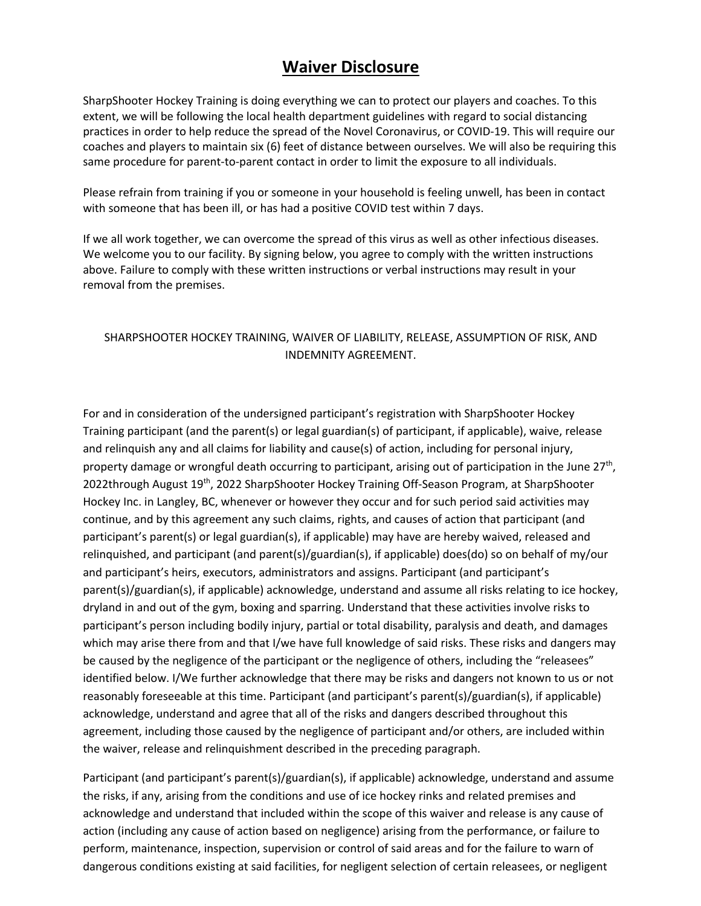## **Waiver Disclosure**

SharpShooter Hockey Training is doing everything we can to protect our players and coaches. To this extent, we will be following the local health department guidelines with regard to social distancing practices in order to help reduce the spread of the Novel Coronavirus, or COVID-19. This will require our coaches and players to maintain six (6) feet of distance between ourselves. We will also be requiring this same procedure for parent-to-parent contact in order to limit the exposure to all individuals.

Please refrain from training if you or someone in your household is feeling unwell, has been in contact with someone that has been ill, or has had a positive COVID test within 7 days.

If we all work together, we can overcome the spread of this virus as well as other infectious diseases. We welcome you to our facility. By signing below, you agree to comply with the written instructions above. Failure to comply with these written instructions or verbal instructions may result in your removal from the premises.

## SHARPSHOOTER HOCKEY TRAINING, WAIVER OF LIABILITY, RELEASE, ASSUMPTION OF RISK, AND INDEMNITY AGREEMENT.

For and in consideration of the undersigned participant's registration with SharpShooter Hockey Training participant (and the parent(s) or legal guardian(s) of participant, if applicable), waive, release and relinquish any and all claims for liability and cause(s) of action, including for personal injury, property damage or wrongful death occurring to participant, arising out of participation in the June 27<sup>th</sup>, 2022through August 19<sup>th</sup>, 2022 SharpShooter Hockey Training Off-Season Program, at SharpShooter Hockey Inc. in Langley, BC, whenever or however they occur and for such period said activities may continue, and by this agreement any such claims, rights, and causes of action that participant (and participant's parent(s) or legal guardian(s), if applicable) may have are hereby waived, released and relinquished, and participant (and parent(s)/guardian(s), if applicable) does(do) so on behalf of my/our and participant's heirs, executors, administrators and assigns. Participant (and participant's parent(s)/guardian(s), if applicable) acknowledge, understand and assume all risks relating to ice hockey, dryland in and out of the gym, boxing and sparring. Understand that these activities involve risks to participant's person including bodily injury, partial or total disability, paralysis and death, and damages which may arise there from and that I/we have full knowledge of said risks. These risks and dangers may be caused by the negligence of the participant or the negligence of others, including the "releasees" identified below. I/We further acknowledge that there may be risks and dangers not known to us or not reasonably foreseeable at this time. Participant (and participant's parent(s)/guardian(s), if applicable) acknowledge, understand and agree that all of the risks and dangers described throughout this agreement, including those caused by the negligence of participant and/or others, are included within the waiver, release and relinquishment described in the preceding paragraph.

Participant (and participant's parent(s)/guardian(s), if applicable) acknowledge, understand and assume the risks, if any, arising from the conditions and use of ice hockey rinks and related premises and acknowledge and understand that included within the scope of this waiver and release is any cause of action (including any cause of action based on negligence) arising from the performance, or failure to perform, maintenance, inspection, supervision or control of said areas and for the failure to warn of dangerous conditions existing at said facilities, for negligent selection of certain releasees, or negligent